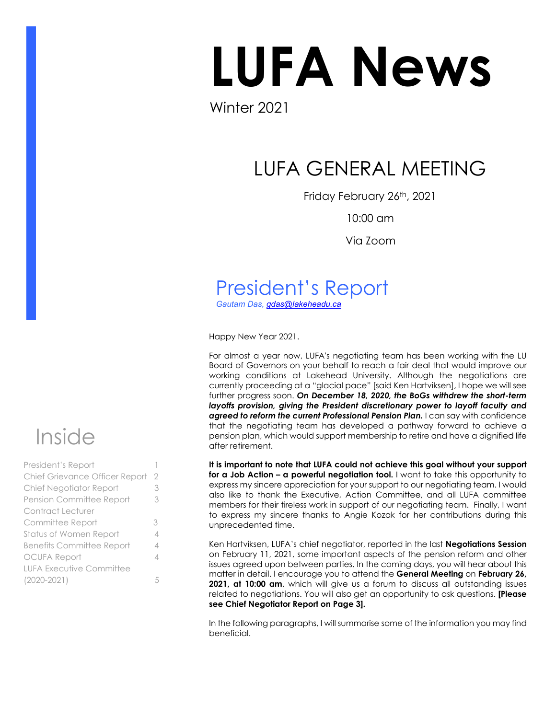# LUFA News

Winter 2021

# LUFA GENERAL MEETING

Friday February 26th, 2021

10:00 am

Via Zoom

# President's Report

*Gautam Das, [gdas@lakeheadu.ca](mailto:gdas@lakeheadu.ca)*

Happy New Year 2021.

For almost a year now, LUFA's negotiating team has been working with the LU Board of Governors on your behalf to reach a fair deal that would improve our working conditions at Lakehead University. Although the negotiations are currently proceeding at a "glacial pace" [said Ken Hartviksen], I hope we will see further progress soon. *On December 18, 2020, the BoGs withdrew the short-term*  layoffs provision, giving the President discretionary power to layoff faculty and *agreed to reform the current Professional Pension Plan.* I can say with confidence that the negotiating team has developed a pathway forward to achieve a pension plan, which would support membership to retire and have a dignified life after retirement.

**It is important to note that LUFA could not achieve this goal without your support for a Job Action – a powerful negotiation tool.** I want to take this opportunity to express my sincere appreciation for your support to our negotiating team. I would also like to thank the Executive, Action Committee, and all LUFA committee members for their tireless work in support of our negotiating team. Finally, I want to express my sincere thanks to Angie Kozak for her contributions during this unprecedented time.

Ken Hartviksen, LUFA's chief negotiator, reported in the last **Negotiations Session** on February 11, 2021, some important aspects of the pension reform and other issues agreed upon between parties. In the coming days, you will hear about this matter in detail. I encourage you to attend the **General Meeting** on **February 26, 2021, at 10:00 am**, which will give us a forum to discuss all outstanding issues related to negotiations. You will also get an opportunity to ask questions. **[Please see Chief Negotiator Report on Page 3].** 

In the following paragraphs, I will summarise some of the information you may find beneficial.



| President's Report                    |   |
|---------------------------------------|---|
| <b>Chief Grievance Officer Report</b> | 2 |
| Chief Negotiator Report               | 3 |
| Pension Committee Report              | 3 |
| Contract Lecturer                     |   |
| Committee Report                      | 3 |
| Status of Women Report                | 4 |
| <b>Benefits Committee Report</b>      | 4 |
| <b>OCUFA Report</b>                   | 4 |
| <b>LUFA Executive Committee</b>       |   |
| $(2020 - 2021)$                       | 5 |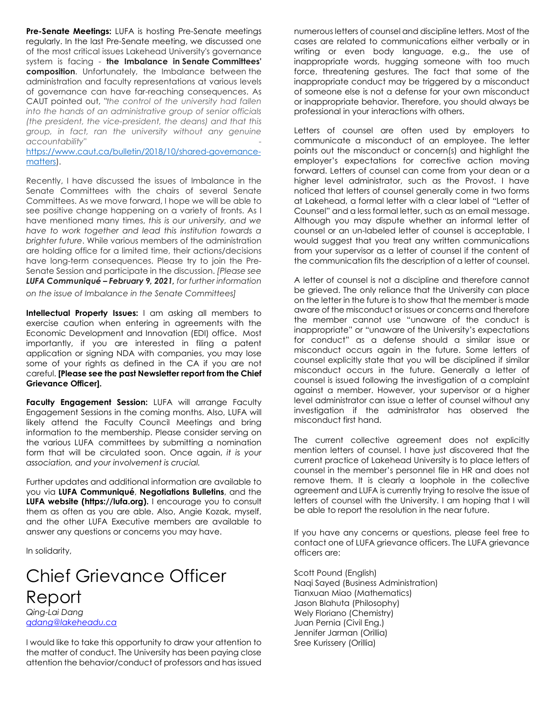**Pre-Senate Meetings:** LUFA is hosting Pre-Senate meetings regularly. In the last Pre-Senate meeting, we discussed one of the most critical issues Lakehead University's governance system is facing - **the Imbalance in Senate Committees' composition**. Unfortunately, the Imbalance between the administration and faculty representations at various levels of governance can have far-reaching consequences. As CAUT pointed out, *"the control of the university had fallen into the hands of an administrative group of senior officials (the president, the vice-president, the deans) and that this group, in fact, ran the university without any genuine accountability"* -

[https://www.caut.ca/bulletin/2018/10/shared-governance](https://www.caut.ca/bulletin/2018/10/shared-governance-matters)[matters\)](https://www.caut.ca/bulletin/2018/10/shared-governance-matters).

Recently, I have discussed the issues of Imbalance in the Senate Committees with the chairs of several Senate Committees. As we move forward, I hope we will be able to see positive change happening on a variety of fronts. As I have mentioned many times, *this is our university, and we have to work together and lead this institution towards a brighter future*. While various members of the administration are holding office for a limited time, their actions/decisions have long-term consequences. Please try to join the Pre-Senate Session and participate in the discussion. *[Please see LUFA Communiqué – February 9, 2021, for further information* 

*on the issue of Imbalance in the Senate Committees]*

**Intellectual Property Issues:** I am asking all members to exercise caution when entering in agreements with the Economic Development and Innovation (EDI) office. Most importantly, if you are interested in filing a patent application or signing NDA with companies, you may lose some of your rights as defined in the CA if you are not careful. **[Please see the past Newsletter report from the Chief Grievance Officer].** 

Faculty Engagement Session: LUFA will arrange Faculty Engagement Sessions in the coming months. Also, LUFA will likely attend the Faculty Council Meetings and bring information to the membership. Please consider serving on the various LUFA committees by submitting a nomination form that will be circulated soon. Once again, *it is your association, and your involvement is crucial.* 

Further updates and additional information are available to you via **LUFA Communiqué**, **Negotiations Bulletins**, and the **LUFA website (https://lufa.org).** I encourage you to consult them as often as you are able. Also, Angie Kozak, myself, and the other LUFA Executive members are available to answer any questions or concerns you may have.

In solidarity,

#### Chief Grievance Officer Report *Qing-Lai Dang [qdang@lakeheadu.ca](mailto:qdang@lakeheadu.ca)*

I would like to take this opportunity to draw your attention to the matter of conduct. The University has been paying close attention the behavior/conduct of professors and has issued

numerous letters of counsel and discipline letters. Most of the cases are related to communications either verbally or in writing or even body language, e.g., the use of inappropriate words, hugging someone with too much force, threatening gestures. The fact that some of the inappropriate conduct may be triggered by a misconduct of someone else is not a defense for your own misconduct or inappropriate behavior. Therefore, you should always be professional in your interactions with others.

Letters of counsel are often used by employers to communicate a misconduct of an employee. The letter points out the misconduct or concern(s) and highlight the employer's expectations for corrective action moving forward. Letters of counsel can come from your dean or a higher level administrator, such as the Provost. I have noticed that letters of counsel generally come in two forms at Lakehead, a formal letter with a clear label of "Letter of Counsel" and a less formal letter, such as an email message. Although you may dispute whether an informal letter of counsel or an un-labeled letter of counsel is acceptable, I would suggest that you treat any written communications from your supervisor as a letter of counsel if the content of the communication fits the description of a letter of counsel.

A letter of counsel is not a discipline and therefore cannot be grieved. The only reliance that the University can place on the letter in the future is to show that the member is made aware of the misconduct or issues or concerns and therefore the member cannot use "unaware of the conduct is inappropriate" or "unaware of the University's expectations for conduct" as a defense should a similar issue or misconduct occurs again in the future. Some letters of counsel explicitly state that you will be disciplined if similar misconduct occurs in the future. Generally a letter of counsel is issued following the investigation of a complaint against a member. However, your supervisor or a higher level administrator can issue a letter of counsel without any investigation if the administrator has observed the misconduct first hand.

The current collective agreement does not explicitly mention letters of counsel. I have just discovered that the current practice of Lakehead University is to place letters of counsel in the member's personnel file in HR and does not remove them. It is clearly a loophole in the collective agreement and LUFA is currently trying to resolve the issue of letters of counsel with the University. I am hoping that I will be able to report the resolution in the near future.

If you have any concerns or questions, please feel free to contact one of LUFA grievance officers. The LUFA grievance officers are:

Scott Pound (English) Naqi Sayed (Business Administration) Tianxuan Miao (Mathematics) Jason Blahuta (Philosophy) Wely Floriano (Chemistry) Juan Pernia (Civil Eng.) Jennifer Jarman (Orillia) Sree Kurissery (Orillia)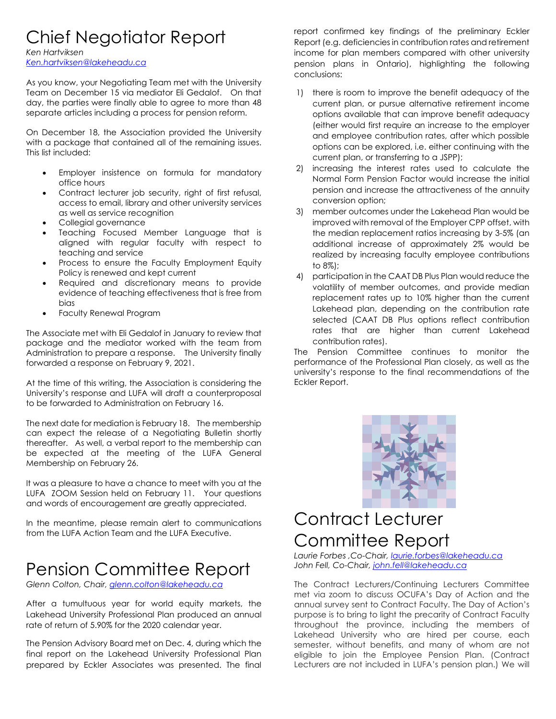## Chief Negotiator Report

*Ken Hartviksen*

*[Ken.hartviksen@lakeheadu.ca](mailto:Ken.hartviksen@lakeheadu.ca)* 

As you know, your Negotiating Team met with the University Team on December 15 via mediator Eli Gedalof. On that day, the parties were finally able to agree to more than 48 separate articles including a process for pension reform.

On December 18, the Association provided the University with a package that contained all of the remaining issues. This list included:

- Employer insistence on formula for mandatory office hours
- Contract lecturer job security, right of first refusal, access to email, library and other university services as well as service recognition
- Collegial governance
- Teaching Focused Member Language that is aligned with regular faculty with respect to teaching and service
- Process to ensure the Faculty Employment Equity Policy is renewed and kept current
- Required and discretionary means to provide evidence of teaching effectiveness that is free from bias
- Faculty Renewal Program

The Associate met with Eli Gedalof in January to review that package and the mediator worked with the team from Administration to prepare a response. The University finally forwarded a response on February 9, 2021.

At the time of this writing, the Association is considering the University's response and LUFA will draft a counterproposal to be forwarded to Administration on February 16.

The next date for mediation is February 18. The membership can expect the release of a Negotiating Bulletin shortly thereafter. As well, a verbal report to the membership can be expected at the meeting of the LUFA General Membership on February 26.

It was a pleasure to have a chance to meet with you at the LUFA ZOOM Session held on February 11. Your questions and words of encouragement are greatly appreciated.

In the meantime, please remain alert to communications from the LUFA Action Team and the LUFA Executive.

# Pension Committee Report

*Glenn Colton, Chair[, glenn.colton@lakeheadu.ca](mailto:glenn.colton@lakeheadu.ca)*

After a tumultuous year for world equity markets, the Lakehead University Professional Plan produced an annual rate of return of 5.90% for the 2020 calendar year.

The Pension Advisory Board met on Dec. 4, during which the final report on the Lakehead University Professional Plan prepared by Eckler Associates was presented. The final

report confirmed key findings of the preliminary Eckler Report (e.g. deficiencies in contribution rates and retirement income for plan members compared with other university pension plans in Ontario), highlighting the following conclusions:

- 1) there is room to improve the benefit adequacy of the current plan, or pursue alternative retirement income options available that can improve benefit adequacy (either would first require an increase to the employer and employee contribution rates, after which possible options can be explored, i.e. either continuing with the current plan, or transferring to a JSPP);
- 2) increasing the interest rates used to calculate the Normal Form Pension Factor would increase the initial pension and increase the attractiveness of the annuity conversion option;
- 3) member outcomes under the Lakehead Plan would be improved with removal of the Employer CPP offset, with the median replacement ratios increasing by 3-5% (an additional increase of approximately 2% would be realized by increasing faculty employee contributions to 8%);
- 4) participation in the CAAT DB Plus Plan would reduce the volatility of member outcomes, and provide median replacement rates up to 10% higher than the current Lakehead plan, depending on the contribution rate selected (CAAT DB Plus options reflect contribution rates that are higher than current Lakehead contribution rates).

The Pension Committee continues to monitor the performance of the Professional Plan closely, as well as the university's response to the final recommendations of the Eckler Report.



# Contract Lecturer Committee Report

*Laurie Forbes ,Co-Chair, [laurie.forbes@lakeheadu.ca](mailto:laurie.forbes@lakeheadu.ca)  John Fell, Co-Chair, [john.fell@lakeheadu.ca](mailto:john.fell@lakeheadu.ca)*

The Contract Lecturers/Continuing Lecturers Committee met via zoom to discuss OCUFA's Day of Action and the annual survey sent to Contract Faculty. The Day of Action's purpose is to bring to light the precarity of Contract Faculty throughout the province, including the members of Lakehead University who are hired per course, each semester, without benefits, and many of whom are not eligible to join the Employee Pension Plan. (Contract Lecturers are not included in LUFA's pension plan.) We will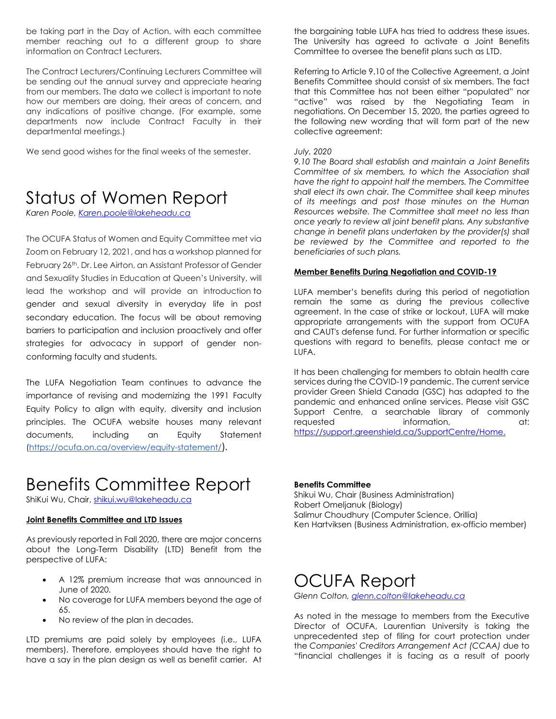be taking part in the Day of Action, with each committee member reaching out to a different group to share information on Contract Lecturers.

The Contract Lecturers/Continuing Lecturers Committee will be sending out the annual survey and appreciate hearing from our members. The data we collect is important to note how our members are doing, their areas of concern, and any indications of positive change. (For example, some departments now include Contract Faculty in their departmental meetings.)

We send good wishes for the final weeks of the semester.

## Status of Women Report

*Karen Poole[, Karen.poole@lakeheadu.ca](mailto:Karen.poole@lakeheadu.ca)*

The OCUFA Status of Women and Equity Committee met via Zoom on February 12, 2021, and has a workshop planned for February 26<sup>th</sup>. Dr. Lee Airton, an Assistant Professor of Gender and Sexuality Studies in Education at Queen's University, will lead the workshop and will provide an introduction to gender and sexual diversity in everyday life in post secondary education. The focus will be about removing barriers to participation and inclusion proactively and offer strategies for advocacy in support of gender nonconforming faculty and students.

The LUFA Negotiation Team continues to advance the importance of revising and modernizing the 1991 Faculty Equity Policy to align with equity, diversity and inclusion principles. The OCUFA website houses many relevant documents, including an Equity Statement [\(https://ocufa.on.ca/overview/equity-statement/](https://ocufa.on.ca/overview/equity-statement/)).

## Benefits Committee Report

ShiKui Wu, Chair, [shikui.wu@lakeheadu.ca](about:blank)

#### **Joint Benefits Committee and LTD Issues**

As previously reported in Fall 2020, there are major concerns about the Long-Term Disability (LTD) Benefit from the perspective of LUFA:

- A 12% premium increase that was announced in June of 2020.
- No coverage for LUFA members beyond the age of 65.
- No review of the plan in decades.

LTD premiums are paid solely by employees (i.e., LUFA members). Therefore, employees should have the right to have a say in the plan design as well as benefit carrier. At

the bargaining table LUFA has tried to address these issues. The University has agreed to activate a Joint Benefits Committee to oversee the benefit plans such as LTD.

Referring to Article 9.10 of the Collective Agreement, a Joint Benefits Committee should consist of six members. The fact that this Committee has not been either "populated" nor "active" was raised by the Negotiating Team in negotiations. On December 15, 2020, the parties agreed to the following new wording that will form part of the new collective agreement:

#### *July, 2020*

*9.10 The Board shall establish and maintain a Joint Benefits Committee of six members, to which the Association shall have the right to appoint half the members. The Committee shall elect its own chair. The Committee shall keep minutes of its meetings and post those minutes on the Human Resources website. The Committee shall meet no less than once yearly to review all joint benefit plans. Any substantive change in benefit plans undertaken by the provider(s) shall be reviewed by the Committee and reported to the beneficiaries of such plans.*

#### **Member Benefits During Negotiation and COVID-19**

LUFA member's benefits during this period of negotiation remain the same as during the previous collective agreement. In the case of strike or lockout, LUFA will make appropriate arrangements with the support from OCUFA and CAUT's defense fund. For further information or specific questions with regard to benefits, please contact me or LUFA.

It has been challenging for members to obtain health care services during the COVID-19 pandemic. The current service provider Green Shield Canada (GSC) has adapted to the pandemic and enhanced online services. Please visit GSC Support Centre, a searchable library of commonly requested information, at: [https://support.greenshield.ca/SupportCentre/Home.](https://support.greenshield.ca/SupportCentre/Home)

#### **Benefits Committee**

Shikui Wu, Chair (Business Administration) Robert Omeljanuk (Biology) Salimur Choudhury (Computer Science, Orillia) Ken Hartviksen (Business Administration, ex-officio member)

### OCUFA Report

*Glenn Colton[, glenn.colton@lakeheadu.ca](mailto:glenn.colton@lakeheadu.ca)*

As noted in the message to members from the Executive Director of OCUFA, Laurentian University is taking the unprecedented step of filing for court protection under the *Companies' Creditors Arrangement Act (CCAA)* due to "financial challenges it is facing as a result of poorly